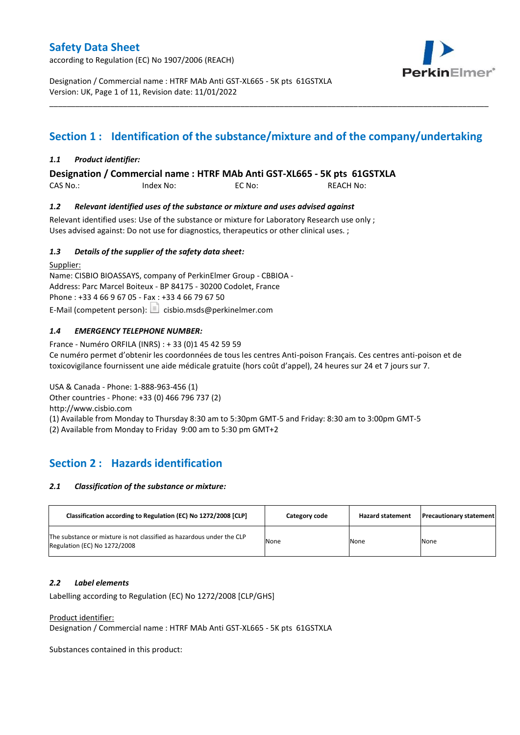according to Regulation (EC) No 1907/2006 (REACH)



Designation / Commercial name : HTRF MAb Anti GST-XL665 - 5K pts 61GSTXLA Version: UK, Page 1 of 11, Revision date: 11/01/2022

# **Section 1 : Identification of the substance/mixture and of the company/undertaking**

\_\_\_\_\_\_\_\_\_\_\_\_\_\_\_\_\_\_\_\_\_\_\_\_\_\_\_\_\_\_\_\_\_\_\_\_\_\_\_\_\_\_\_\_\_\_\_\_\_\_\_\_\_\_\_\_\_\_\_\_\_\_\_\_\_\_\_\_\_\_\_\_\_\_\_\_\_\_\_\_\_\_\_\_\_\_\_\_\_\_\_\_\_\_\_\_\_\_\_\_\_

### *1.1 Product identifier:*

**Designation / Commercial name : HTRF MAb Anti GST-XL665 - 5K pts 61GSTXLA** 

CAS No.: Index No: EC No: REACH No:

### *1.2 Relevant identified uses of the substance or mixture and uses advised against*

Relevant identified uses: Use of the substance or mixture for Laboratory Research use only ; Uses advised against: Do not use for diagnostics, therapeutics or other clinical uses. ;

### *1.3 Details of the supplier of the safety data sheet:*

Supplier: Name: CISBIO BIOASSAYS, company of PerkinElmer Group - CBBIOA - Address: Parc Marcel Boiteux - BP 84175 - 30200 Codolet, France Phone : +33 4 66 9 67 05 - Fax : +33 4 66 79 67 50 E-Mail (competent person):  $\boxed{\equiv}$  cisbio.msds@perkinelmer.com

### *1.4 EMERGENCY TELEPHONE NUMBER:*

France - Numéro ORFILA (INRS) : + 33 (0)1 45 42 59 59 Ce numéro permet d'obtenir les coordonnées de tous les centres Anti-poison Français. Ces centres anti-poison et de toxicovigilance fournissent une aide médicale gratuite (hors coût d'appel), 24 heures sur 24 et 7 jours sur 7.

USA & Canada - Phone: 1-888-963-456 (1) Other countries - Phone: +33 (0) 466 796 737 (2)

http://www.cisbio.com

(1) Available from Monday to Thursday 8:30 am to 5:30pm GMT-5 and Friday: 8:30 am to 3:00pm GMT-5

(2) Available from Monday to Friday 9:00 am to 5:30 pm GMT+2

# **Section 2 : Hazards identification**

### *2.1 Classification of the substance or mixture:*

| Classification according to Regulation (EC) No 1272/2008 [CLP]                                        | Category code | <b>Hazard statement</b> | <b>Precautionary statement</b> |
|-------------------------------------------------------------------------------------------------------|---------------|-------------------------|--------------------------------|
| The substance or mixture is not classified as hazardous under the CLP<br>Regulation (EC) No 1272/2008 | None          | None                    | None                           |

### *2.2 Label elements*

Labelling according to Regulation (EC) No 1272/2008 [CLP/GHS]

Product identifier:

Designation / Commercial name : HTRF MAb Anti GST-XL665 - 5K pts 61GSTXLA

Substances contained in this product: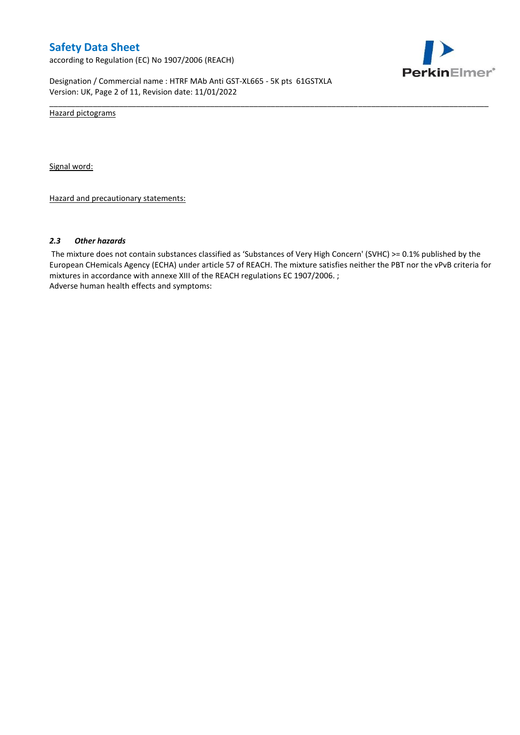according to Regulation (EC) No 1907/2006 (REACH)



Designation / Commercial name : HTRF MAb Anti GST-XL665 - 5K pts 61GSTXLA Version: UK, Page 2 of 11, Revision date: 11/01/2022

Hazard pictograms

Signal word:

Hazard and precautionary statements:

#### *2.3 Other hazards*

The mixture does not contain substances classified as 'Substances of Very High Concern' (SVHC) >= 0.1% published by the European CHemicals Agency (ECHA) under article 57 of REACH. The mixture satisfies neither the PBT nor the vPvB criteria for mixtures in accordance with annexe XIII of the REACH regulations EC 1907/2006. ; Adverse human health effects and symptoms:

\_\_\_\_\_\_\_\_\_\_\_\_\_\_\_\_\_\_\_\_\_\_\_\_\_\_\_\_\_\_\_\_\_\_\_\_\_\_\_\_\_\_\_\_\_\_\_\_\_\_\_\_\_\_\_\_\_\_\_\_\_\_\_\_\_\_\_\_\_\_\_\_\_\_\_\_\_\_\_\_\_\_\_\_\_\_\_\_\_\_\_\_\_\_\_\_\_\_\_\_\_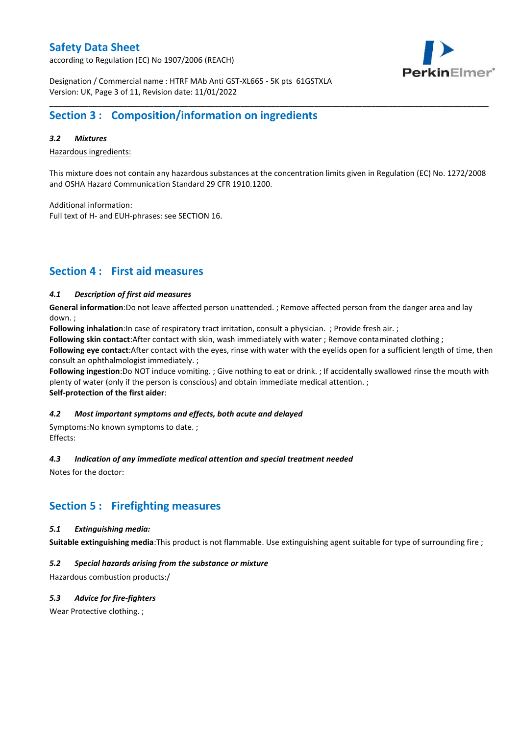according to Regulation (EC) No 1907/2006 (REACH)



Designation / Commercial name : HTRF MAb Anti GST-XL665 - 5K pts 61GSTXLA Version: UK, Page 3 of 11, Revision date: 11/01/2022

# **Section 3 : Composition/information on ingredients**

### *3.2 Mixtures*

Hazardous ingredients:

This mixture does not contain any hazardous substances at the concentration limits given in Regulation (EC) No. 1272/2008 and OSHA Hazard Communication Standard 29 CFR 1910.1200.

\_\_\_\_\_\_\_\_\_\_\_\_\_\_\_\_\_\_\_\_\_\_\_\_\_\_\_\_\_\_\_\_\_\_\_\_\_\_\_\_\_\_\_\_\_\_\_\_\_\_\_\_\_\_\_\_\_\_\_\_\_\_\_\_\_\_\_\_\_\_\_\_\_\_\_\_\_\_\_\_\_\_\_\_\_\_\_\_\_\_\_\_\_\_\_\_\_\_\_\_\_

Additional information:

Full text of H- and EUH-phrases: see SECTION 16.

# **Section 4 : First aid measures**

### *4.1 Description of first aid measures*

**General information**:Do not leave affected person unattended. ; Remove affected person from the danger area and lay down. ;

**Following inhalation**:In case of respiratory tract irritation, consult a physician. ; Provide fresh air. ;

**Following skin contact**:After contact with skin, wash immediately with water ; Remove contaminated clothing ;

**Following eye contact**:After contact with the eyes, rinse with water with the eyelids open for a sufficient length of time, then consult an ophthalmologist immediately. ;

**Following ingestion**:Do NOT induce vomiting. ; Give nothing to eat or drink. ; If accidentally swallowed rinse the mouth with plenty of water (only if the person is conscious) and obtain immediate medical attention. ; **Self-protection of the first aider**:

### *4.2 Most important symptoms and effects, both acute and delayed*

Symptoms:No known symptoms to date. ; Effects:

### *4.3 Indication of any immediate medical attention and special treatment needed*

Notes for the doctor:

## **Section 5 : Firefighting measures**

### *5.1 Extinguishing media:*

**Suitable extinguishing media**:This product is not flammable. Use extinguishing agent suitable for type of surrounding fire ;

### *5.2 Special hazards arising from the substance or mixture*

Hazardous combustion products:/

### *5.3 Advice for fire-fighters*

Wear Protective clothing.;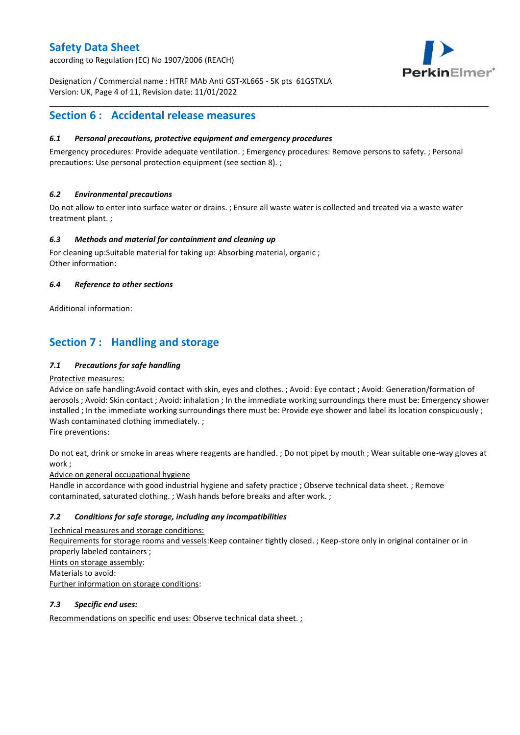according to Regulation (EC) No 1907/2006 (REACH)



Designation / Commercial name : HTRF MAb Anti GST-XL665 - 5K pts 61GSTXLA Version: UK, Page 4 of 11, Revision date: 11/01/2022

# **Section 6 : Accidental release measures**

### *6.1 Personal precautions, protective equipment and emergency procedures*

Emergency procedures: Provide adequate ventilation. ; Emergency procedures: Remove persons to safety. ; Personal precautions: Use personal protection equipment (see section 8). ;

\_\_\_\_\_\_\_\_\_\_\_\_\_\_\_\_\_\_\_\_\_\_\_\_\_\_\_\_\_\_\_\_\_\_\_\_\_\_\_\_\_\_\_\_\_\_\_\_\_\_\_\_\_\_\_\_\_\_\_\_\_\_\_\_\_\_\_\_\_\_\_\_\_\_\_\_\_\_\_\_\_\_\_\_\_\_\_\_\_\_\_\_\_\_\_\_\_\_\_\_\_

### *6.2 Environmental precautions*

Do not allow to enter into surface water or drains. ; Ensure all waste water is collected and treated via a waste water treatment plant. ;

### *6.3 Methods and material for containment and cleaning up*

For cleaning up:Suitable material for taking up: Absorbing material, organic ; Other information:

### *6.4 Reference to other sections*

Additional information:

# **Section 7 : Handling and storage**

### *7.1 Precautions for safe handling*

### Protective measures:

Advice on safe handling:Avoid contact with skin, eyes and clothes. ; Avoid: Eye contact ; Avoid: Generation/formation of aerosols ; Avoid: Skin contact ; Avoid: inhalation ; In the immediate working surroundings there must be: Emergency shower installed ; In the immediate working surroundings there must be: Provide eye shower and label its location conspicuously ; Wash contaminated clothing immediately. ;

Fire preventions:

Do not eat, drink or smoke in areas where reagents are handled. ; Do not pipet by mouth ; Wear suitable one-way gloves at work ;

Advice on general occupational hygiene

Handle in accordance with good industrial hygiene and safety practice ; Observe technical data sheet. ; Remove contaminated, saturated clothing. ; Wash hands before breaks and after work. ;

### *7.2 Conditions for safe storage, including any incompatibilities*

Technical measures and storage conditions: Requirements for storage rooms and vessels:Keep container tightly closed. ; Keep-store only in original container or in properly labeled containers ; Hints on storage assembly: Materials to avoid: Further information on storage conditions:

### *7.3 Specific end uses:*

Recommendations on specific end uses: Observe technical data sheet. ;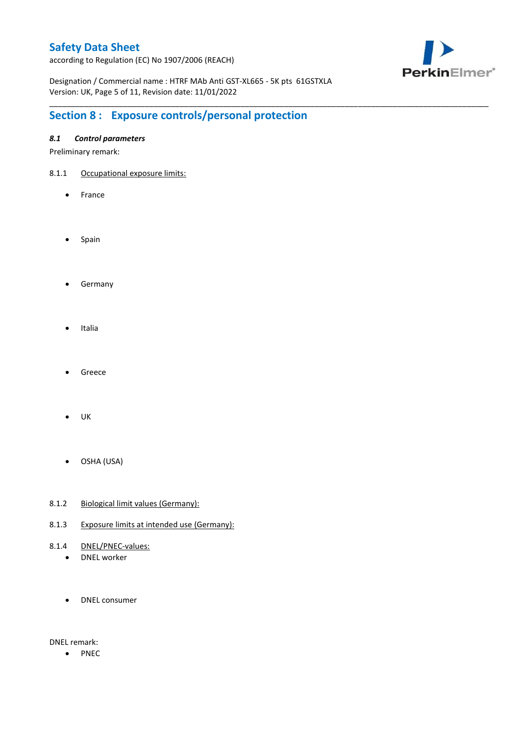according to Regulation (EC) No 1907/2006 (REACH)



Designation / Commercial name : HTRF MAb Anti GST-XL665 - 5K pts 61GSTXLA Version: UK, Page 5 of 11, Revision date: 11/01/2022

\_\_\_\_\_\_\_\_\_\_\_\_\_\_\_\_\_\_\_\_\_\_\_\_\_\_\_\_\_\_\_\_\_\_\_\_\_\_\_\_\_\_\_\_\_\_\_\_\_\_\_\_\_\_\_\_\_\_\_\_\_\_\_\_\_\_\_\_\_\_\_\_\_\_\_\_\_\_\_\_\_\_\_\_\_\_\_\_\_\_\_\_\_\_\_\_\_\_\_\_\_

# **Section 8 : Exposure controls/personal protection**

### *8.1 Control parameters*

Preliminary remark:

- 8.1.1 Occupational exposure limits:
	- France
	- Spain
	- **•** Germany
	- Italia
	- Greece
	- $\bullet$  UK
	- OSHA (USA)
- 8.1.2 Biological limit values (Germany):
- 8.1.3 Exposure limits at intended use (Germany):
- 8.1.4 DNEL/PNEC-values:
	- DNEL worker
	- DNEL consumer

DNEL remark:

• PNEC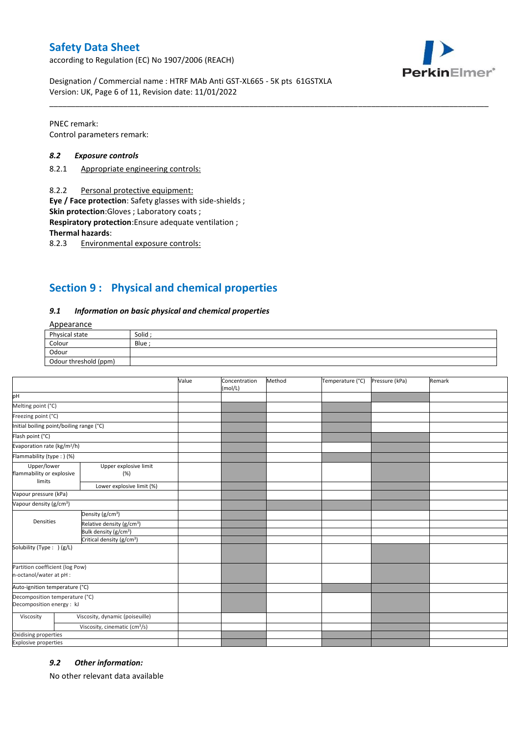according to Regulation (EC) No 1907/2006 (REACH)



Designation / Commercial name : HTRF MAb Anti GST-XL665 - 5K pts 61GSTXLA Version: UK, Page 6 of 11, Revision date: 11/01/2022

PNEC remark: Control parameters remark:

#### *8.2 Exposure controls*

- 8.2.1 Appropriate engineering controls:
- 8.2.2 Personal protective equipment:

**Eye / Face protection**: Safety glasses with side-shields ;

**Skin protection**:Gloves ; Laboratory coats ;

**Respiratory protection**:Ensure adequate ventilation ;

**Thermal hazards**:

8.2.3 Environmental exposure controls:

# **Section 9 : Physical and chemical properties**

#### *9.1 Information on basic physical and chemical properties*

### Appearance

| Physical state        | Solid  |
|-----------------------|--------|
| Colour                | Blue ; |
| Odour                 |        |
| Odour threshold (ppm) |        |

\_\_\_\_\_\_\_\_\_\_\_\_\_\_\_\_\_\_\_\_\_\_\_\_\_\_\_\_\_\_\_\_\_\_\_\_\_\_\_\_\_\_\_\_\_\_\_\_\_\_\_\_\_\_\_\_\_\_\_\_\_\_\_\_\_\_\_\_\_\_\_\_\_\_\_\_\_\_\_\_\_\_\_\_\_\_\_\_\_\_\_\_\_\_\_\_\_\_\_\_\_

|                                                             |                                           | Value | Concentration<br>(mol/L) | Method | Temperature (°C) | Pressure (kPa) | Remark |
|-------------------------------------------------------------|-------------------------------------------|-------|--------------------------|--------|------------------|----------------|--------|
| pH                                                          |                                           |       |                          |        |                  |                |        |
| Melting point (°C)                                          |                                           |       |                          |        |                  |                |        |
| Freezing point (°C)                                         |                                           |       |                          |        |                  |                |        |
| Initial boiling point/boiling range (°C)                    |                                           |       |                          |        |                  |                |        |
| Flash point (°C)                                            |                                           |       |                          |        |                  |                |        |
| Evaporation rate (kg/m <sup>2</sup> /h)                     |                                           |       |                          |        |                  |                |        |
| Flammability (type: ) (%)                                   |                                           |       |                          |        |                  |                |        |
| Upper/lower<br>flammability or explosive<br>limits          | Upper explosive limit<br>(%)              |       |                          |        |                  |                |        |
|                                                             | Lower explosive limit (%)                 |       |                          |        |                  |                |        |
| Vapour pressure (kPa)                                       |                                           |       |                          |        |                  |                |        |
| Vapour density (g/cm <sup>3</sup> )                         |                                           |       |                          |        |                  |                |        |
|                                                             | Density (g/cm <sup>3</sup> )              |       |                          |        |                  |                |        |
| Densities                                                   | Relative density (g/cm <sup>3</sup> )     |       |                          |        |                  |                |        |
|                                                             | Bulk density (g/cm <sup>3</sup> )         |       |                          |        |                  |                |        |
|                                                             | Critical density (g/cm <sup>3</sup> )     |       |                          |        |                  |                |        |
| Solubility (Type: ) (g/L)                                   |                                           |       |                          |        |                  |                |        |
| Partition coefficient (log Pow)<br>n-octanol/water at pH :  |                                           |       |                          |        |                  |                |        |
| Auto-ignition temperature (°C)                              |                                           |       |                          |        |                  |                |        |
| Decomposition temperature (°C)<br>Decomposition energy : kJ |                                           |       |                          |        |                  |                |        |
| Viscosity                                                   | Viscosity, dynamic (poiseuille)           |       |                          |        |                  |                |        |
|                                                             | Viscosity, cinematic (cm <sup>3</sup> /s) |       |                          |        |                  |                |        |
| Oxidising properties                                        |                                           |       |                          |        |                  |                |        |
| <b>Explosive properties</b>                                 |                                           |       |                          |        |                  |                |        |

### *9.2 Other information:*

No other relevant data available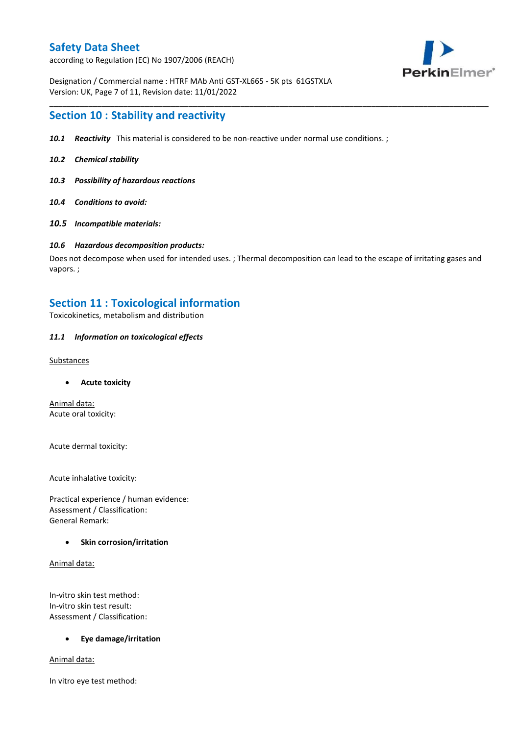according to Regulation (EC) No 1907/2006 (REACH)



Designation / Commercial name : HTRF MAb Anti GST-XL665 - 5K pts 61GSTXLA Version: UK, Page 7 of 11, Revision date: 11/01/2022

### **Section 10 : Stability and reactivity**

- *10.1 Reactivity* This material is considered to be non-reactive under normal use conditions. ;
- *10.2 Chemical stability*
- *10.3 Possibility of hazardous reactions*
- *10.4 Conditions to avoid:*
- *10.5 Incompatible materials:*

#### *10.6 Hazardous decomposition products:*

Does not decompose when used for intended uses. ; Thermal decomposition can lead to the escape of irritating gases and vapors. ;

\_\_\_\_\_\_\_\_\_\_\_\_\_\_\_\_\_\_\_\_\_\_\_\_\_\_\_\_\_\_\_\_\_\_\_\_\_\_\_\_\_\_\_\_\_\_\_\_\_\_\_\_\_\_\_\_\_\_\_\_\_\_\_\_\_\_\_\_\_\_\_\_\_\_\_\_\_\_\_\_\_\_\_\_\_\_\_\_\_\_\_\_\_\_\_\_\_\_\_\_\_

### **Section 11 : Toxicological information**

Toxicokinetics, metabolism and distribution

### *11.1 Information on toxicological effects*

#### **Substances**

**Acute toxicity**

Animal data: Acute oral toxicity:

Acute dermal toxicity:

Acute inhalative toxicity:

Practical experience / human evidence: Assessment / Classification: General Remark:

### **Skin corrosion/irritation**

Animal data:

In-vitro skin test method: In-vitro skin test result: Assessment / Classification:

### **Eye damage/irritation**

Animal data:

In vitro eye test method: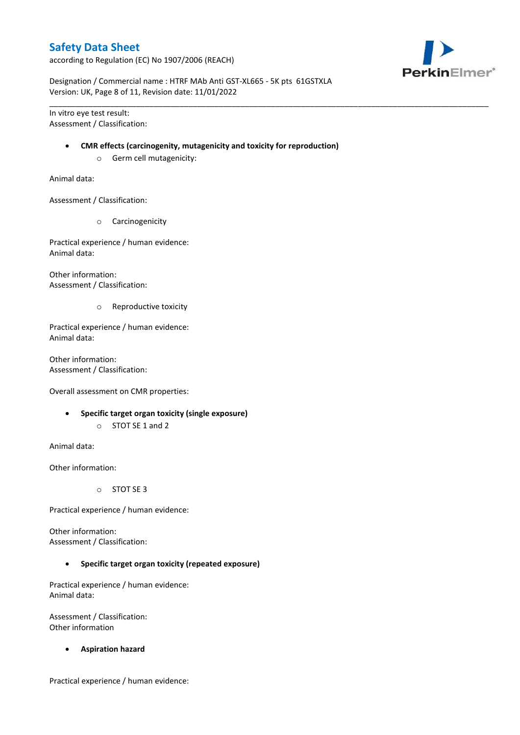according to Regulation (EC) No 1907/2006 (REACH)



Designation / Commercial name : HTRF MAb Anti GST-XL665 - 5K pts 61GSTXLA Version: UK, Page 8 of 11, Revision date: 11/01/2022

In vitro eye test result: Assessment / Classification:

#### **CMR effects (carcinogenity, mutagenicity and toxicity for reproduction)**

\_\_\_\_\_\_\_\_\_\_\_\_\_\_\_\_\_\_\_\_\_\_\_\_\_\_\_\_\_\_\_\_\_\_\_\_\_\_\_\_\_\_\_\_\_\_\_\_\_\_\_\_\_\_\_\_\_\_\_\_\_\_\_\_\_\_\_\_\_\_\_\_\_\_\_\_\_\_\_\_\_\_\_\_\_\_\_\_\_\_\_\_\_\_\_\_\_\_\_\_\_

o Germ cell mutagenicity:

Animal data:

Assessment / Classification:

o Carcinogenicity

Practical experience / human evidence: Animal data:

Other information: Assessment / Classification:

o Reproductive toxicity

Practical experience / human evidence: Animal data:

Other information: Assessment / Classification:

Overall assessment on CMR properties:

- **Specific target organ toxicity (single exposure)**
	- o STOT SE 1 and 2

Animal data:

Other information:

o STOT SE 3

Practical experience / human evidence:

Other information: Assessment / Classification:

**Specific target organ toxicity (repeated exposure)**

Practical experience / human evidence: Animal data:

Assessment / Classification: Other information

**Aspiration hazard**

Practical experience / human evidence: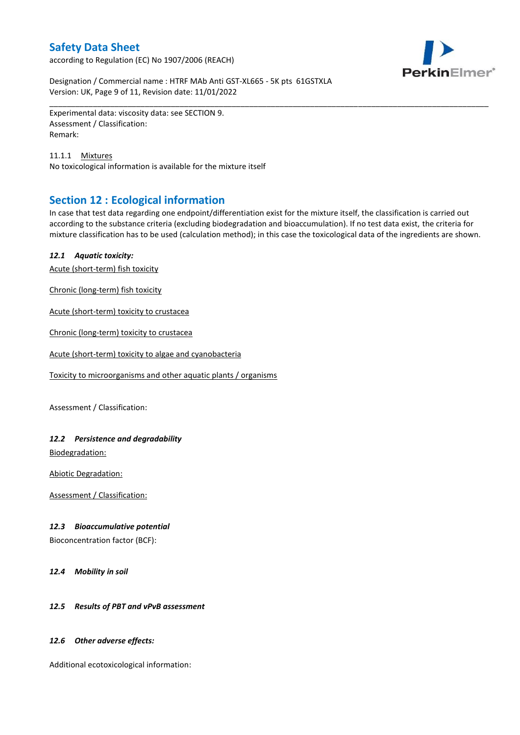according to Regulation (EC) No 1907/2006 (REACH)



Designation / Commercial name : HTRF MAb Anti GST-XL665 - 5K pts 61GSTXLA Version: UK, Page 9 of 11, Revision date: 11/01/2022

Experimental data: viscosity data: see SECTION 9. Assessment / Classification: Remark:

11.1.1 Mixtures No toxicological information is available for the mixture itself

# **Section 12 : Ecological information**

In case that test data regarding one endpoint/differentiation exist for the mixture itself, the classification is carried out according to the substance criteria (excluding biodegradation and bioaccumulation). If no test data exist, the criteria for mixture classification has to be used (calculation method); in this case the toxicological data of the ingredients are shown.

\_\_\_\_\_\_\_\_\_\_\_\_\_\_\_\_\_\_\_\_\_\_\_\_\_\_\_\_\_\_\_\_\_\_\_\_\_\_\_\_\_\_\_\_\_\_\_\_\_\_\_\_\_\_\_\_\_\_\_\_\_\_\_\_\_\_\_\_\_\_\_\_\_\_\_\_\_\_\_\_\_\_\_\_\_\_\_\_\_\_\_\_\_\_\_\_\_\_\_\_\_

### *12.1 Aquatic toxicity:*

Acute (short-term) fish toxicity

Chronic (long-term) fish toxicity

Acute (short-term) toxicity to crustacea

Chronic (long-term) toxicity to crustacea

Acute (short-term) toxicity to algae and cyanobacteria

Toxicity to microorganisms and other aquatic plants / organisms

Assessment / Classification:

### *12.2 Persistence and degradability*

Biodegradation:

Abiotic Degradation:

Assessment / Classification:

### *12.3 Bioaccumulative potential*

Bioconcentration factor (BCF):

*12.4 Mobility in soil*

### *12.5 Results of PBT and vPvB assessment*

### *12.6 Other adverse effects:*

Additional ecotoxicological information: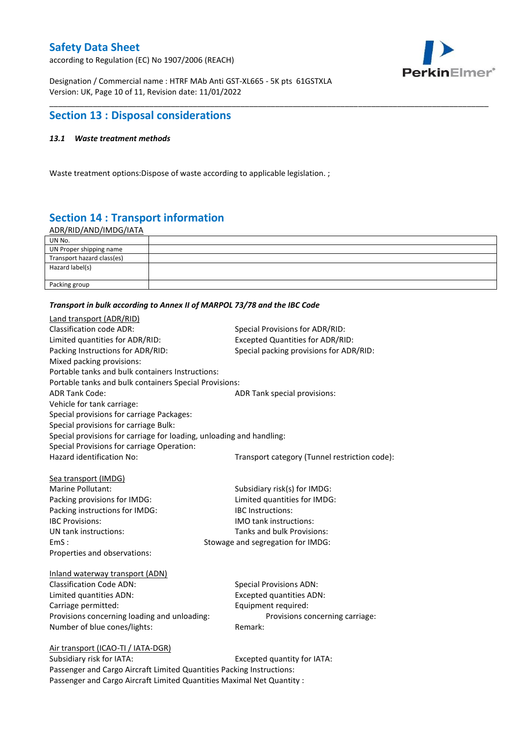according to Regulation (EC) No 1907/2006 (REACH)



Designation / Commercial name : HTRF MAb Anti GST-XL665 - 5K pts 61GSTXLA Version: UK, Page 10 of 11, Revision date: 11/01/2022

# **Section 13 : Disposal considerations**

### *13.1 Waste treatment methods*

Waste treatment options:Dispose of waste according to applicable legislation. ;

# **Section 14 : Transport information**

ADR/RID/AND/IMDG/IATA

| UN No.                     |  |
|----------------------------|--|
| UN Proper shipping name    |  |
| Transport hazard class(es) |  |
| Hazard label(s)            |  |
|                            |  |
| Packing group              |  |

\_\_\_\_\_\_\_\_\_\_\_\_\_\_\_\_\_\_\_\_\_\_\_\_\_\_\_\_\_\_\_\_\_\_\_\_\_\_\_\_\_\_\_\_\_\_\_\_\_\_\_\_\_\_\_\_\_\_\_\_\_\_\_\_\_\_\_\_\_\_\_\_\_\_\_\_\_\_\_\_\_\_\_\_\_\_\_\_\_\_\_\_\_\_\_\_\_\_\_\_\_

#### *Transport in bulk according to Annex II of MARPOL 73/78 and the IBC Code*

| Land transport (ADR/RID)                                             |                                               |
|----------------------------------------------------------------------|-----------------------------------------------|
| <b>Classification code ADR:</b>                                      | Special Provisions for ADR/RID:               |
| Limited quantities for ADR/RID:                                      | <b>Excepted Quantities for ADR/RID:</b>       |
| Packing Instructions for ADR/RID:                                    | Special packing provisions for ADR/RID:       |
| Mixed packing provisions:                                            |                                               |
| Portable tanks and bulk containers Instructions:                     |                                               |
| Portable tanks and bulk containers Special Provisions:               |                                               |
| <b>ADR Tank Code:</b>                                                | ADR Tank special provisions:                  |
| Vehicle for tank carriage:                                           |                                               |
| Special provisions for carriage Packages:                            |                                               |
| Special provisions for carriage Bulk:                                |                                               |
| Special provisions for carriage for loading, unloading and handling: |                                               |
| Special Provisions for carriage Operation:                           |                                               |
| Hazard identification No:                                            | Transport category (Tunnel restriction code): |
|                                                                      |                                               |
| Sea transport (IMDG)                                                 |                                               |
| Marine Pollutant:                                                    | Subsidiary risk(s) for IMDG:                  |
| Packing provisions for IMDG:                                         | Limited quantities for IMDG:                  |
| Packing instructions for IMDG:                                       | IBC Instructions:                             |
| <b>IBC Provisions:</b>                                               | <b>IMO</b> tank instructions:                 |
| UN tank instructions:                                                | Tanks and bulk Provisions:                    |
| EmS:                                                                 | Stowage and segregation for IMDG:             |
| Properties and observations:                                         |                                               |
| Inland waterway transport (ADN)                                      |                                               |
| <b>Classification Code ADN:</b>                                      | <b>Special Provisions ADN:</b>                |
| Limited quantities ADN:                                              | <b>Excepted quantities ADN:</b>               |
| Carriage permitted:                                                  | Equipment required:                           |
| Provisions concerning loading and unloading:                         | Provisions concerning carriage:               |
| Number of blue cones/lights:                                         | Remark:                                       |
|                                                                      |                                               |
| Air transport (ICAO-TI / IATA-DGR)                                   |                                               |
| Subsidiary risk for IATA.                                            | Excented quantity for IATA.                   |

Subsidiary risk for IATA: Excepted quantity for IATA: Passenger and Cargo Aircraft Limited Quantities Packing Instructions: Passenger and Cargo Aircraft Limited Quantities Maximal Net Quantity :